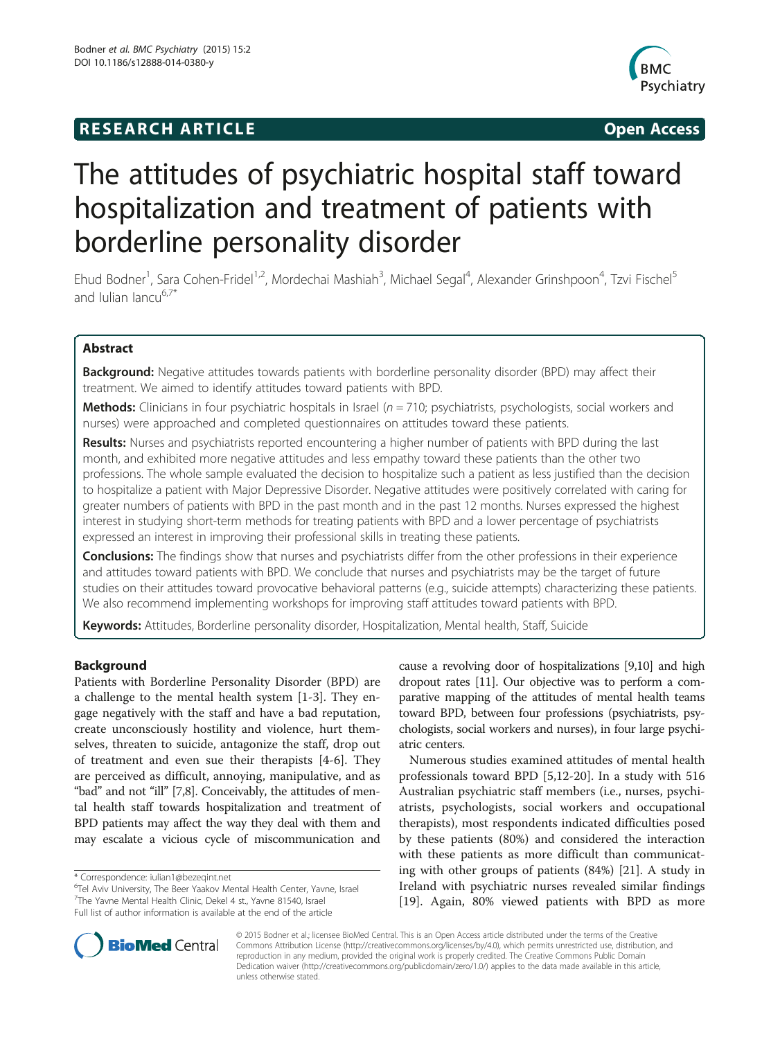# **RESEARCH ARTICLE Example 2014 CONSIDERING CONSIDERING CONSIDERING CONSIDERING CONSIDERING CONSIDERING CONSIDERING CONSIDERING CONSIDERING CONSIDERING CONSIDERING CONSIDERING CONSIDERING CONSIDERING CONSIDERING CONSIDE**



# The attitudes of psychiatric hospital staff toward hospitalization and treatment of patients with borderline personality disorder

Ehud Bodner<sup>1</sup>, Sara Cohen-Fridel<sup>1,2</sup>, Mordechai Mashiah<sup>3</sup>, Michael Segal<sup>4</sup>, Alexander Grinshpoon<sup>4</sup>, Tzvi Fischel<sup>5</sup> and Iulian Iancu $6,7"$ 

# Abstract

Background: Negative attitudes towards patients with borderline personality disorder (BPD) may affect their treatment. We aimed to identify attitudes toward patients with BPD.

**Methods:** Clinicians in four psychiatric hospitals in Israel  $(n = 710;$  psychiatrists, psychologists, social workers and nurses) were approached and completed questionnaires on attitudes toward these patients.

Results: Nurses and psychiatrists reported encountering a higher number of patients with BPD during the last month, and exhibited more negative attitudes and less empathy toward these patients than the other two professions. The whole sample evaluated the decision to hospitalize such a patient as less justified than the decision to hospitalize a patient with Major Depressive Disorder. Negative attitudes were positively correlated with caring for greater numbers of patients with BPD in the past month and in the past 12 months. Nurses expressed the highest interest in studying short-term methods for treating patients with BPD and a lower percentage of psychiatrists expressed an interest in improving their professional skills in treating these patients.

**Conclusions:** The findings show that nurses and psychiatrists differ from the other professions in their experience and attitudes toward patients with BPD. We conclude that nurses and psychiatrists may be the target of future studies on their attitudes toward provocative behavioral patterns (e.g., suicide attempts) characterizing these patients. We also recommend implementing workshops for improving staff attitudes toward patients with BPD.

Keywords: Attitudes, Borderline personality disorder, Hospitalization, Mental health, Staff, Suicide

# Background

Patients with Borderline Personality Disorder (BPD) are a challenge to the mental health system [\[1](#page-10-0)-[3\]](#page-10-0). They engage negatively with the staff and have a bad reputation, create unconsciously hostility and violence, hurt themselves, threaten to suicide, antagonize the staff, drop out of treatment and even sue their therapists [[4-6](#page-10-0)]. They are perceived as difficult, annoying, manipulative, and as "bad" and not "ill" [\[7,8](#page-10-0)]. Conceivably, the attitudes of mental health staff towards hospitalization and treatment of BPD patients may affect the way they deal with them and may escalate a vicious cycle of miscommunication and cause a revolving door of hospitalizations [[9,10](#page-10-0)] and high dropout rates [\[11](#page-10-0)]. Our objective was to perform a comparative mapping of the attitudes of mental health teams toward BPD, between four professions (psychiatrists, psychologists, social workers and nurses), in four large psychiatric centers.

Numerous studies examined attitudes of mental health professionals toward BPD [[5,12-20](#page-10-0)]. In a study with 516 Australian psychiatric staff members (i.e., nurses, psychiatrists, psychologists, social workers and occupational therapists), most respondents indicated difficulties posed by these patients (80%) and considered the interaction with these patients as more difficult than communicating with other groups of patients (84%) [[21\]](#page-10-0). A study in Ireland with psychiatric nurses revealed similar findings [[19\]](#page-10-0). Again, 80% viewed patients with BPD as more



© 2015 Bodner et al.; licensee BioMed Central. This is an Open Access article distributed under the terms of the Creative Commons Attribution License [\(http://creativecommons.org/licenses/by/4.0\)](http://creativecommons.org/licenses/by/4.0), which permits unrestricted use, distribution, and reproduction in any medium, provided the original work is properly credited. The Creative Commons Public Domain Dedication waiver [\(http://creativecommons.org/publicdomain/zero/1.0/](http://creativecommons.org/publicdomain/zero/1.0/)) applies to the data made available in this article, unless otherwise stated.

<sup>\*</sup> Correspondence: [iulian1@bezeqint.net](mailto:iulian1@bezeqint.net) <sup>6</sup>

<sup>&</sup>lt;sup>6</sup>Tel Aviv University, The Beer Yaakov Mental Health Center, Yavne, Israel 7 The Yavne Mental Health Clinic, Dekel 4 st., Yavne 81540, Israel

Full list of author information is available at the end of the article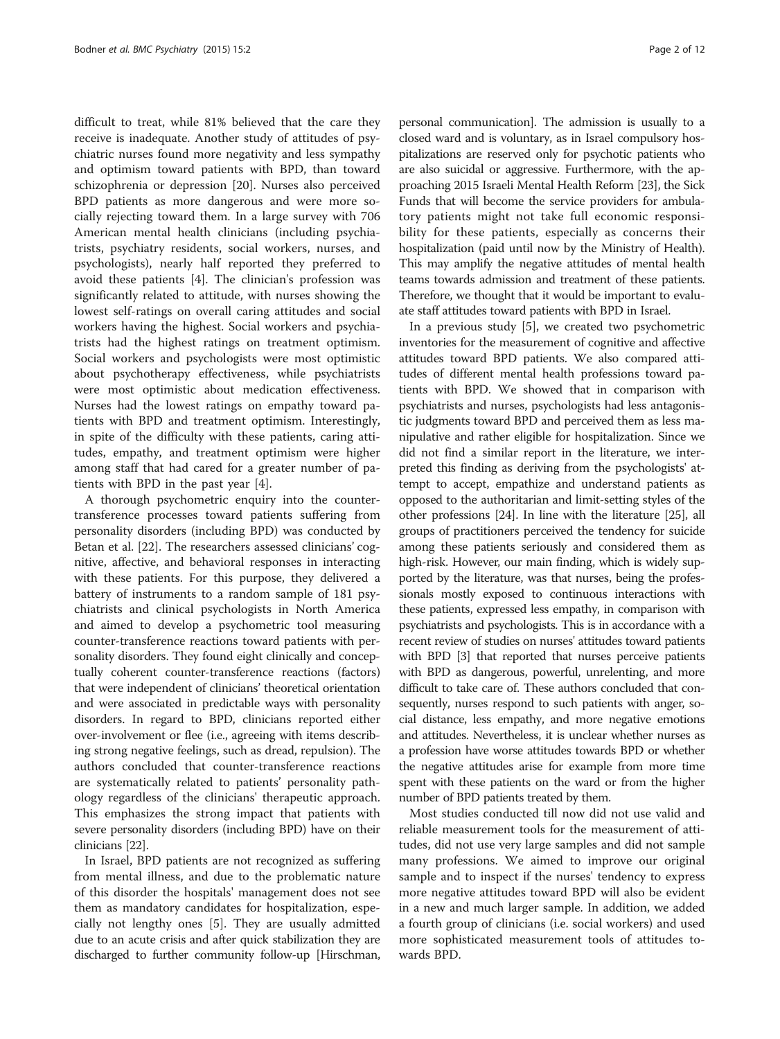difficult to treat, while 81% believed that the care they receive is inadequate. Another study of attitudes of psychiatric nurses found more negativity and less sympathy and optimism toward patients with BPD, than toward schizophrenia or depression [[20](#page-10-0)]. Nurses also perceived BPD patients as more dangerous and were more socially rejecting toward them. In a large survey with 706 American mental health clinicians (including psychiatrists, psychiatry residents, social workers, nurses, and psychologists), nearly half reported they preferred to avoid these patients [[4\]](#page-10-0). The clinician's profession was significantly related to attitude, with nurses showing the lowest self-ratings on overall caring attitudes and social workers having the highest. Social workers and psychiatrists had the highest ratings on treatment optimism. Social workers and psychologists were most optimistic about psychotherapy effectiveness, while psychiatrists were most optimistic about medication effectiveness. Nurses had the lowest ratings on empathy toward patients with BPD and treatment optimism. Interestingly, in spite of the difficulty with these patients, caring attitudes, empathy, and treatment optimism were higher among staff that had cared for a greater number of patients with BPD in the past year [[4](#page-10-0)].

A thorough psychometric enquiry into the countertransference processes toward patients suffering from personality disorders (including BPD) was conducted by Betan et al. [\[22](#page-10-0)]. The researchers assessed clinicians' cognitive, affective, and behavioral responses in interacting with these patients. For this purpose, they delivered a battery of instruments to a random sample of 181 psychiatrists and clinical psychologists in North America and aimed to develop a psychometric tool measuring counter-transference reactions toward patients with personality disorders. They found eight clinically and conceptually coherent counter-transference reactions (factors) that were independent of clinicians' theoretical orientation and were associated in predictable ways with personality disorders. In regard to BPD, clinicians reported either over-involvement or flee (i.e., agreeing with items describing strong negative feelings, such as dread, repulsion). The authors concluded that counter-transference reactions are systematically related to patients' personality pathology regardless of the clinicians' therapeutic approach. This emphasizes the strong impact that patients with severe personality disorders (including BPD) have on their clinicians [[22](#page-10-0)].

In Israel, BPD patients are not recognized as suffering from mental illness, and due to the problematic nature of this disorder the hospitals' management does not see them as mandatory candidates for hospitalization, especially not lengthy ones [[5\]](#page-10-0). They are usually admitted due to an acute crisis and after quick stabilization they are discharged to further community follow-up [Hirschman,

personal communication]. The admission is usually to a closed ward and is voluntary, as in Israel compulsory hospitalizations are reserved only for psychotic patients who are also suicidal or aggressive. Furthermore, with the approaching 2015 Israeli Mental Health Reform [[23](#page-10-0)], the Sick Funds that will become the service providers for ambulatory patients might not take full economic responsibility for these patients, especially as concerns their hospitalization (paid until now by the Ministry of Health). This may amplify the negative attitudes of mental health teams towards admission and treatment of these patients. Therefore, we thought that it would be important to evaluate staff attitudes toward patients with BPD in Israel.

In a previous study [[5](#page-10-0)], we created two psychometric inventories for the measurement of cognitive and affective attitudes toward BPD patients. We also compared attitudes of different mental health professions toward patients with BPD. We showed that in comparison with psychiatrists and nurses, psychologists had less antagonistic judgments toward BPD and perceived them as less manipulative and rather eligible for hospitalization. Since we did not find a similar report in the literature, we interpreted this finding as deriving from the psychologists' attempt to accept, empathize and understand patients as opposed to the authoritarian and limit-setting styles of the other professions [\[24\]](#page-10-0). In line with the literature [[25](#page-10-0)], all groups of practitioners perceived the tendency for suicide among these patients seriously and considered them as high-risk. However, our main finding, which is widely supported by the literature, was that nurses, being the professionals mostly exposed to continuous interactions with these patients, expressed less empathy, in comparison with psychiatrists and psychologists. This is in accordance with a recent review of studies on nurses' attitudes toward patients with BPD [[3](#page-10-0)] that reported that nurses perceive patients with BPD as dangerous, powerful, unrelenting, and more difficult to take care of. These authors concluded that consequently, nurses respond to such patients with anger, social distance, less empathy, and more negative emotions and attitudes. Nevertheless, it is unclear whether nurses as a profession have worse attitudes towards BPD or whether the negative attitudes arise for example from more time spent with these patients on the ward or from the higher number of BPD patients treated by them.

Most studies conducted till now did not use valid and reliable measurement tools for the measurement of attitudes, did not use very large samples and did not sample many professions. We aimed to improve our original sample and to inspect if the nurses' tendency to express more negative attitudes toward BPD will also be evident in a new and much larger sample. In addition, we added a fourth group of clinicians (i.e. social workers) and used more sophisticated measurement tools of attitudes towards BPD.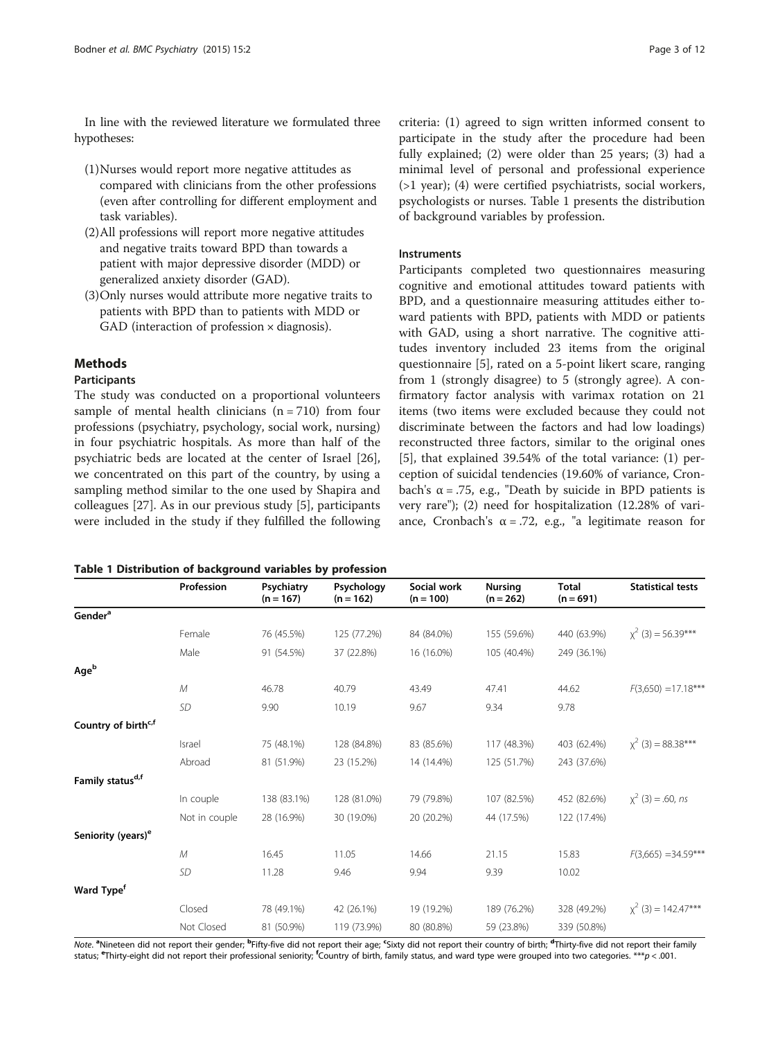<span id="page-2-0"></span>In line with the reviewed literature we formulated three hypotheses:

- (1)Nurses would report more negative attitudes as compared with clinicians from the other professions (even after controlling for different employment and task variables).
- (2)All professions will report more negative attitudes and negative traits toward BPD than towards a patient with major depressive disorder (MDD) or generalized anxiety disorder (GAD).
- (3)Only nurses would attribute more negative traits to patients with BPD than to patients with MDD or GAD (interaction of profession  $\times$  diagnosis).

# Methods

# Participants

The study was conducted on a proportional volunteers sample of mental health clinicians  $(n = 710)$  from four professions (psychiatry, psychology, social work, nursing) in four psychiatric hospitals. As more than half of the psychiatric beds are located at the center of Israel [\[26](#page-10-0)], we concentrated on this part of the country, by using a sampling method similar to the one used by Shapira and colleagues [\[27](#page-10-0)]. As in our previous study [\[5](#page-10-0)], participants were included in the study if they fulfilled the following

#### Table 1 Distribution of background variables by profession

criteria: (1) agreed to sign written informed consent to participate in the study after the procedure had been fully explained; (2) were older than 25 years; (3) had a minimal level of personal and professional experience (>1 year); (4) were certified psychiatrists, social workers, psychologists or nurses. Table 1 presents the distribution of background variables by profession.

# Instruments

Participants completed two questionnaires measuring cognitive and emotional attitudes toward patients with BPD, and a questionnaire measuring attitudes either toward patients with BPD, patients with MDD or patients with GAD, using a short narrative. The cognitive attitudes inventory included 23 items from the original questionnaire [\[5](#page-10-0)], rated on a 5-point likert scare, ranging from 1 (strongly disagree) to 5 (strongly agree). A confirmatory factor analysis with varimax rotation on 21 items (two items were excluded because they could not discriminate between the factors and had low loadings) reconstructed three factors, similar to the original ones [[5\]](#page-10-0), that explained 39.54% of the total variance: (1) perception of suicidal tendencies (19.60% of variance, Cronbach's α = .75, e.g., "Death by suicide in BPD patients is very rare"); (2) need for hospitalization (12.28% of variance, Cronbach's  $\alpha = .72$ , e.g., "a legitimate reason for

|                                 | Profession    | Psychiatry<br>$(n = 167)$ | Psychology<br>$(n = 162)$ | Social work<br>$(n = 100)$ | <b>Nursing</b><br>$(n = 262)$ | <b>Total</b><br>$(n = 691)$ | <b>Statistical tests</b> |
|---------------------------------|---------------|---------------------------|---------------------------|----------------------------|-------------------------------|-----------------------------|--------------------------|
| Gender <sup>a</sup>             |               |                           |                           |                            |                               |                             |                          |
|                                 | Female        | 76 (45.5%)                | 125 (77.2%)               | 84 (84.0%)                 | 155 (59.6%)                   | 440 (63.9%)                 | $x^2$ (3) = 56.39***     |
|                                 | Male          | 91 (54.5%)                | 37 (22.8%)                | 16 (16.0%)                 | 105 (40.4%)                   | 249 (36.1%)                 |                          |
| Ageb                            |               |                           |                           |                            |                               |                             |                          |
|                                 | M             | 46.78                     | 40.79                     | 43.49                      | 47.41                         | 44.62                       | $F(3,650) = 17.18***$    |
|                                 | <b>SD</b>     | 9.90                      | 10.19                     | 9.67                       | 9.34                          | 9.78                        |                          |
| Country of birth <sup>c,f</sup> |               |                           |                           |                            |                               |                             |                          |
|                                 | Israel        | 75 (48.1%)                | 128 (84.8%)               | 83 (85.6%)                 | 117 (48.3%)                   | 403 (62.4%)                 | $x^2$ (3) = 88.38***     |
|                                 | Abroad        | 81 (51.9%)                | 23 (15.2%)                | 14 (14.4%)                 | 125 (51.7%)                   | 243 (37.6%)                 |                          |
| Family status <sup>d,f</sup>    |               |                           |                           |                            |                               |                             |                          |
|                                 | In couple     | 138 (83.1%)               | 128 (81.0%)               | 79 (79.8%)                 | 107 (82.5%)                   | 452 (82.6%)                 | $x^2$ (3) = .60, ns      |
|                                 | Not in couple | 28 (16.9%)                | 30 (19.0%)                | 20 (20.2%)                 | 44 (17.5%)                    | 122 (17.4%)                 |                          |
| Seniority (years) <sup>e</sup>  |               |                           |                           |                            |                               |                             |                          |
|                                 | М             | 16.45                     | 11.05                     | 14.66                      | 21.15                         | 15.83                       | $F(3,665) = 34.59***$    |
|                                 | <b>SD</b>     | 11.28                     | 9.46                      | 9.94                       | 9.39                          | 10.02                       |                          |
| Ward Type <sup>f</sup>          |               |                           |                           |                            |                               |                             |                          |
|                                 | Closed        | 78 (49.1%)                | 42 (26.1%)                | 19 (19.2%)                 | 189 (76.2%)                   | 328 (49.2%)                 | $x^2$ (3) = 142.47***    |
|                                 | Not Closed    | 81 (50.9%)                | 119 (73.9%)               | 80 (80.8%)                 | 59 (23.8%)                    | 339 (50.8%)                 |                          |

Note. <sup>a</sup>Nineteen did not report their gender; <sup>b</sup>Fifty-five did not report their age; <sup>c</sup>Sixty did not report their country of birth; <sup>d</sup>Thirty-five did not report their family status; <sup>e</sup>Thirty-eight did not report their professional seniority; <sup>f</sup>Country of birth, family status, and ward type were grouped into two categories. \*\*\*p < .001.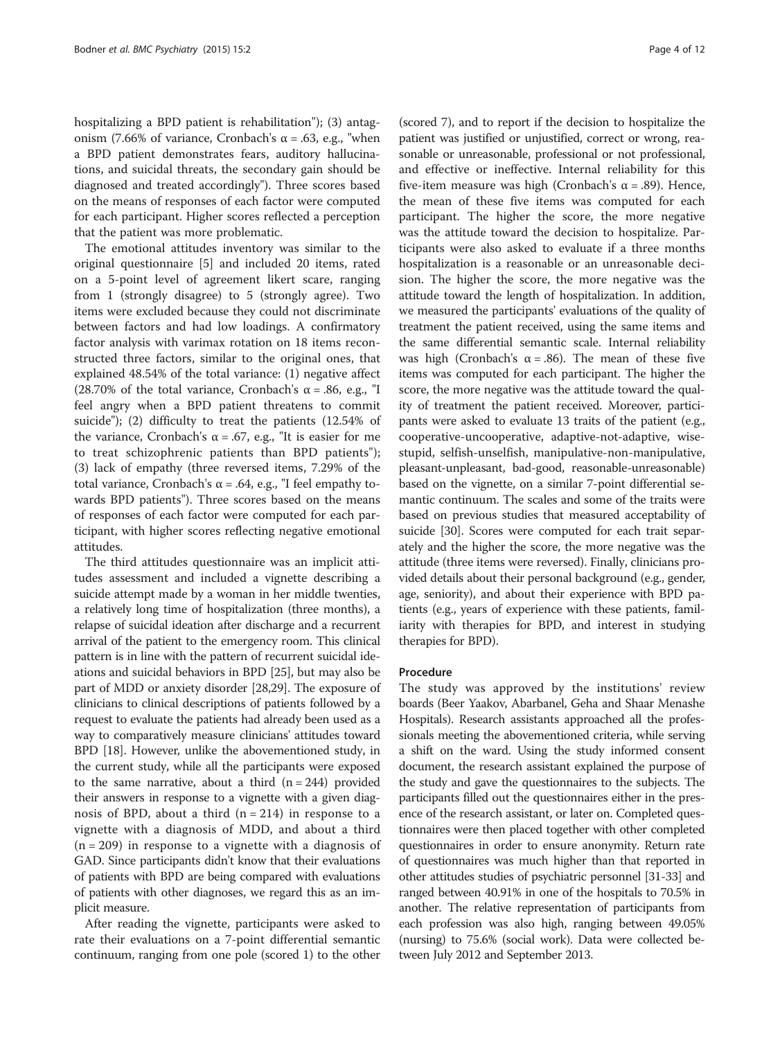hospitalizing a BPD patient is rehabilitation"); (3) antagonism (7.66% of variance, Cronbach's α = .63, e.g., "when a BPD patient demonstrates fears, auditory hallucinations, and suicidal threats, the secondary gain should be diagnosed and treated accordingly"). Three scores based on the means of responses of each factor were computed for each participant. Higher scores reflected a perception that the patient was more problematic.

The emotional attitudes inventory was similar to the original questionnaire [\[5\]](#page-10-0) and included 20 items, rated on a 5-point level of agreement likert scare, ranging from 1 (strongly disagree) to 5 (strongly agree). Two items were excluded because they could not discriminate between factors and had low loadings. A confirmatory factor analysis with varimax rotation on 18 items reconstructed three factors, similar to the original ones, that explained 48.54% of the total variance: (1) negative affect (28.70% of the total variance, Cronbach's  $\alpha$  = .86, e.g., "I feel angry when a BPD patient threatens to commit suicide"); (2) difficulty to treat the patients (12.54% of the variance, Cronbach's α = .67, e.g., "It is easier for me to treat schizophrenic patients than BPD patients"); (3) lack of empathy (three reversed items, 7.29% of the total variance, Cronbach's  $\alpha$  = .64, e.g., "I feel empathy towards BPD patients"). Three scores based on the means of responses of each factor were computed for each participant, with higher scores reflecting negative emotional attitudes.

The third attitudes questionnaire was an implicit attitudes assessment and included a vignette describing a suicide attempt made by a woman in her middle twenties, a relatively long time of hospitalization (three months), a relapse of suicidal ideation after discharge and a recurrent arrival of the patient to the emergency room. This clinical pattern is in line with the pattern of recurrent suicidal ideations and suicidal behaviors in BPD [\[25](#page-10-0)], but may also be part of MDD or anxiety disorder [\[28,29](#page-10-0)]. The exposure of clinicians to clinical descriptions of patients followed by a request to evaluate the patients had already been used as a way to comparatively measure clinicians' attitudes toward BPD [[18](#page-10-0)]. However, unlike the abovementioned study, in the current study, while all the participants were exposed to the same narrative, about a third  $(n = 244)$  provided their answers in response to a vignette with a given diagnosis of BPD, about a third  $(n = 214)$  in response to a vignette with a diagnosis of MDD, and about a third  $(n = 209)$  in response to a vignette with a diagnosis of GAD. Since participants didn't know that their evaluations of patients with BPD are being compared with evaluations of patients with other diagnoses, we regard this as an implicit measure.

After reading the vignette, participants were asked to rate their evaluations on a 7-point differential semantic continuum, ranging from one pole (scored 1) to the other

(scored 7), and to report if the decision to hospitalize the patient was justified or unjustified, correct or wrong, reasonable or unreasonable, professional or not professional, and effective or ineffective. Internal reliability for this five-item measure was high (Cronbach's  $\alpha$  = .89). Hence, the mean of these five items was computed for each participant. The higher the score, the more negative was the attitude toward the decision to hospitalize. Participants were also asked to evaluate if a three months hospitalization is a reasonable or an unreasonable decision. The higher the score, the more negative was the attitude toward the length of hospitalization. In addition, we measured the participants' evaluations of the quality of treatment the patient received, using the same items and the same differential semantic scale. Internal reliability was high (Cronbach's  $\alpha = .86$ ). The mean of these five items was computed for each participant. The higher the score, the more negative was the attitude toward the quality of treatment the patient received. Moreover, participants were asked to evaluate 13 traits of the patient (e.g., cooperative-uncooperative, adaptive-not-adaptive, wisestupid, selfish-unselfish, manipulative-non-manipulative, pleasant-unpleasant, bad-good, reasonable-unreasonable) based on the vignette, on a similar 7-point differential semantic continuum. The scales and some of the traits were based on previous studies that measured acceptability of suicide [\[30](#page-10-0)]. Scores were computed for each trait separately and the higher the score, the more negative was the attitude (three items were reversed). Finally, clinicians provided details about their personal background (e.g., gender, age, seniority), and about their experience with BPD patients (e.g., years of experience with these patients, familiarity with therapies for BPD, and interest in studying therapies for BPD).

## Procedure

The study was approved by the institutions' review boards (Beer Yaakov, Abarbanel, Geha and Shaar Menashe Hospitals). Research assistants approached all the professionals meeting the abovementioned criteria, while serving a shift on the ward. Using the study informed consent document, the research assistant explained the purpose of the study and gave the questionnaires to the subjects. The participants filled out the questionnaires either in the presence of the research assistant, or later on. Completed questionnaires were then placed together with other completed questionnaires in order to ensure anonymity. Return rate of questionnaires was much higher than that reported in other attitudes studies of psychiatric personnel [\[31-33\]](#page-10-0) and ranged between 40.91% in one of the hospitals to 70.5% in another. The relative representation of participants from each profession was also high, ranging between 49.05% (nursing) to 75.6% (social work). Data were collected between July 2012 and September 2013.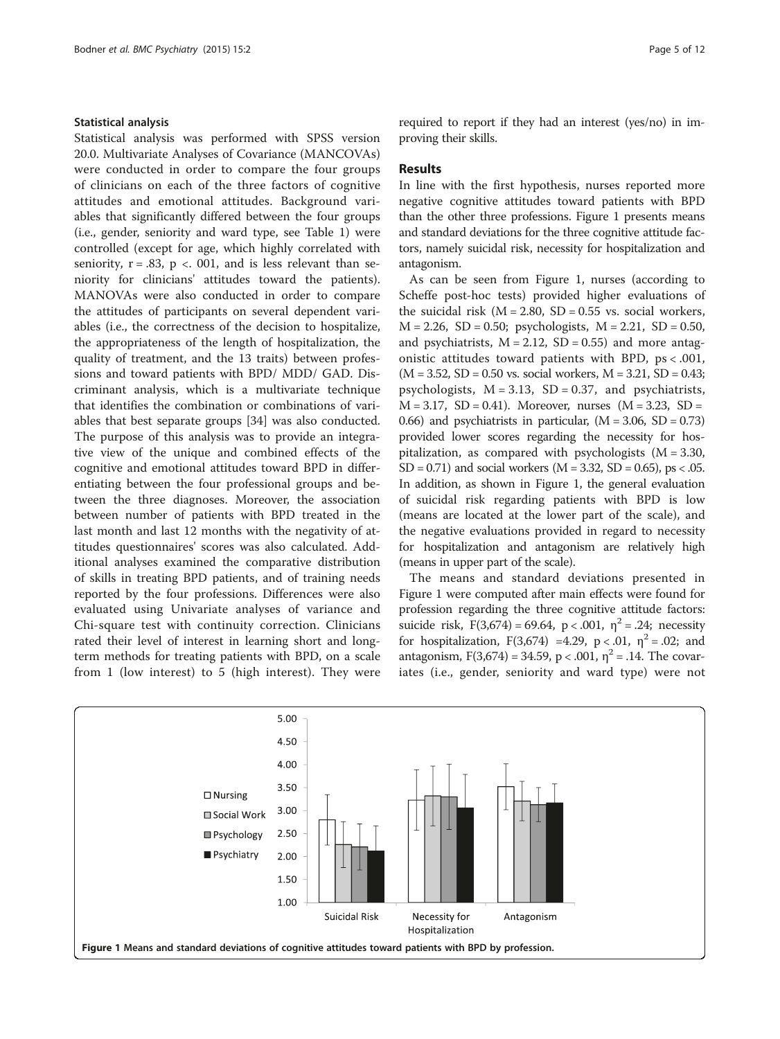#### Statistical analysis

Statistical analysis was performed with SPSS version 20.0. Multivariate Analyses of Covariance (MANCOVAs) were conducted in order to compare the four groups of clinicians on each of the three factors of cognitive attitudes and emotional attitudes. Background variables that significantly differed between the four groups (i.e., gender, seniority and ward type, see Table [1\)](#page-2-0) were controlled (except for age, which highly correlated with seniority,  $r = .83$ ,  $p < .001$ , and is less relevant than seniority for clinicians' attitudes toward the patients). MANOVAs were also conducted in order to compare the attitudes of participants on several dependent variables (i.e., the correctness of the decision to hospitalize, the appropriateness of the length of hospitalization, the quality of treatment, and the 13 traits) between professions and toward patients with BPD/ MDD/ GAD. Discriminant analysis, which is a multivariate technique that identifies the combination or combinations of variables that best separate groups [\[34](#page-10-0)] was also conducted. The purpose of this analysis was to provide an integrative view of the unique and combined effects of the cognitive and emotional attitudes toward BPD in differentiating between the four professional groups and between the three diagnoses. Moreover, the association between number of patients with BPD treated in the last month and last 12 months with the negativity of attitudes questionnaires' scores was also calculated. Additional analyses examined the comparative distribution of skills in treating BPD patients, and of training needs reported by the four professions. Differences were also evaluated using Univariate analyses of variance and Chi-square test with continuity correction. Clinicians rated their level of interest in learning short and longterm methods for treating patients with BPD, on a scale from 1 (low interest) to 5 (high interest). They were required to report if they had an interest (yes/no) in improving their skills.

# Results

In line with the first hypothesis, nurses reported more negative cognitive attitudes toward patients with BPD than the other three professions. Figure 1 presents means and standard deviations for the three cognitive attitude factors, namely suicidal risk, necessity for hospitalization and antagonism.

As can be seen from Figure 1, nurses (according to Scheffe post-hoc tests) provided higher evaluations of the suicidal risk  $(M = 2.80, SD = 0.55$  vs. social workers,  $M = 2.26$ , SD = 0.50; psychologists,  $M = 2.21$ , SD = 0.50, and psychiatrists,  $M = 2.12$ ,  $SD = 0.55$ ) and more antagonistic attitudes toward patients with BPD, ps < .001,  $(M = 3.52, SD = 0.50$  vs. social workers,  $M = 3.21, SD = 0.43$ ; psychologists,  $M = 3.13$ ,  $SD = 0.37$ , and psychiatrists,  $M = 3.17$ , SD = 0.41). Moreover, nurses  $(M = 3.23, SD =$ 0.66) and psychiatrists in particular,  $(M = 3.06, SD = 0.73)$ provided lower scores regarding the necessity for hospitalization, as compared with psychologists  $(M = 3.30,$  $SD = 0.71$ ) and social workers (M = 3.32, SD = 0.65), ps < .05. In addition, as shown in Figure 1, the general evaluation of suicidal risk regarding patients with BPD is low (means are located at the lower part of the scale), and the negative evaluations provided in regard to necessity for hospitalization and antagonism are relatively high (means in upper part of the scale).

The means and standard deviations presented in Figure 1 were computed after main effects were found for profession regarding the three cognitive attitude factors: suicide risk,  $F(3,674) = 69.64$ ,  $p < .001$ ,  $\eta^2 = .24$ ; necessity for hospitalization,  $F(3,674) = 4.29$ ,  $p < .01$ ,  $n^2 = .02$ ; and antagonism,  $F(3,674) = 34.59$ , p < .001,  $\eta^2 = .14$ . The covariates (i.e., gender, seniority and ward type) were not

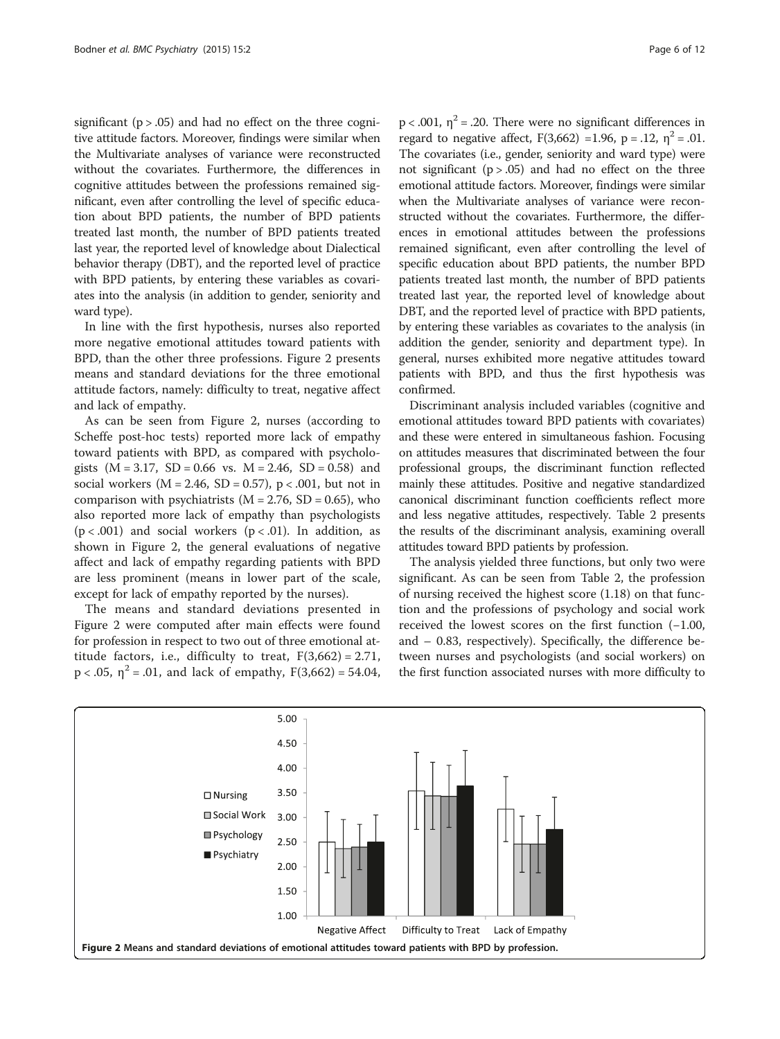significant  $(p > .05)$  and had no effect on the three cognitive attitude factors. Moreover, findings were similar when the Multivariate analyses of variance were reconstructed without the covariates. Furthermore, the differences in cognitive attitudes between the professions remained significant, even after controlling the level of specific education about BPD patients, the number of BPD patients treated last month, the number of BPD patients treated last year, the reported level of knowledge about Dialectical behavior therapy (DBT), and the reported level of practice with BPD patients, by entering these variables as covariates into the analysis (in addition to gender, seniority and ward type).

In line with the first hypothesis, nurses also reported more negative emotional attitudes toward patients with BPD, than the other three professions. Figure 2 presents means and standard deviations for the three emotional attitude factors, namely: difficulty to treat, negative affect and lack of empathy.

As can be seen from Figure 2, nurses (according to Scheffe post-hoc tests) reported more lack of empathy toward patients with BPD, as compared with psychologists  $(M = 3.17, SD = 0.66$  vs.  $M = 2.46, SD = 0.58$  and social workers  $(M = 2.46, SD = 0.57)$ ,  $p < .001$ , but not in comparison with psychiatrists  $(M = 2.76, SD = 0.65)$ , who also reported more lack of empathy than psychologists ( $p < .001$ ) and social workers ( $p < .01$ ). In addition, as shown in Figure 2, the general evaluations of negative affect and lack of empathy regarding patients with BPD are less prominent (means in lower part of the scale, except for lack of empathy reported by the nurses).

The means and standard deviations presented in Figure 2 were computed after main effects were found for profession in respect to two out of three emotional attitude factors, i.e., difficulty to treat,  $F(3,662) = 2.71$ ,  $p < .05$ ,  $\eta^2 = .01$ , and lack of empathy,  $F(3,662) = 54.04$ ,

 $p < .001$ ,  $\eta^2 = .20$ . There were no significant differences in regard to negative affect,  $F(3,662) = 1.96$ ,  $p = .12$ ,  $\eta^2 = .01$ . The covariates (i.e., gender, seniority and ward type) were not significant  $(p > .05)$  and had no effect on the three emotional attitude factors. Moreover, findings were similar when the Multivariate analyses of variance were reconstructed without the covariates. Furthermore, the differences in emotional attitudes between the professions remained significant, even after controlling the level of specific education about BPD patients, the number BPD patients treated last month, the number of BPD patients treated last year, the reported level of knowledge about DBT, and the reported level of practice with BPD patients, by entering these variables as covariates to the analysis (in addition the gender, seniority and department type). In general, nurses exhibited more negative attitudes toward patients with BPD, and thus the first hypothesis was confirmed.

Discriminant analysis included variables (cognitive and emotional attitudes toward BPD patients with covariates) and these were entered in simultaneous fashion. Focusing on attitudes measures that discriminated between the four professional groups, the discriminant function reflected mainly these attitudes. Positive and negative standardized canonical discriminant function coefficients reflect more and less negative attitudes, respectively. Table [2](#page-6-0) presents the results of the discriminant analysis, examining overall attitudes toward BPD patients by profession.

The analysis yielded three functions, but only two were significant. As can be seen from Table [2](#page-6-0), the profession of nursing received the highest score (1.18) on that function and the professions of psychology and social work received the lowest scores on the first function (−1.00, and – 0.83, respectively). Specifically, the difference between nurses and psychologists (and social workers) on the first function associated nurses with more difficulty to

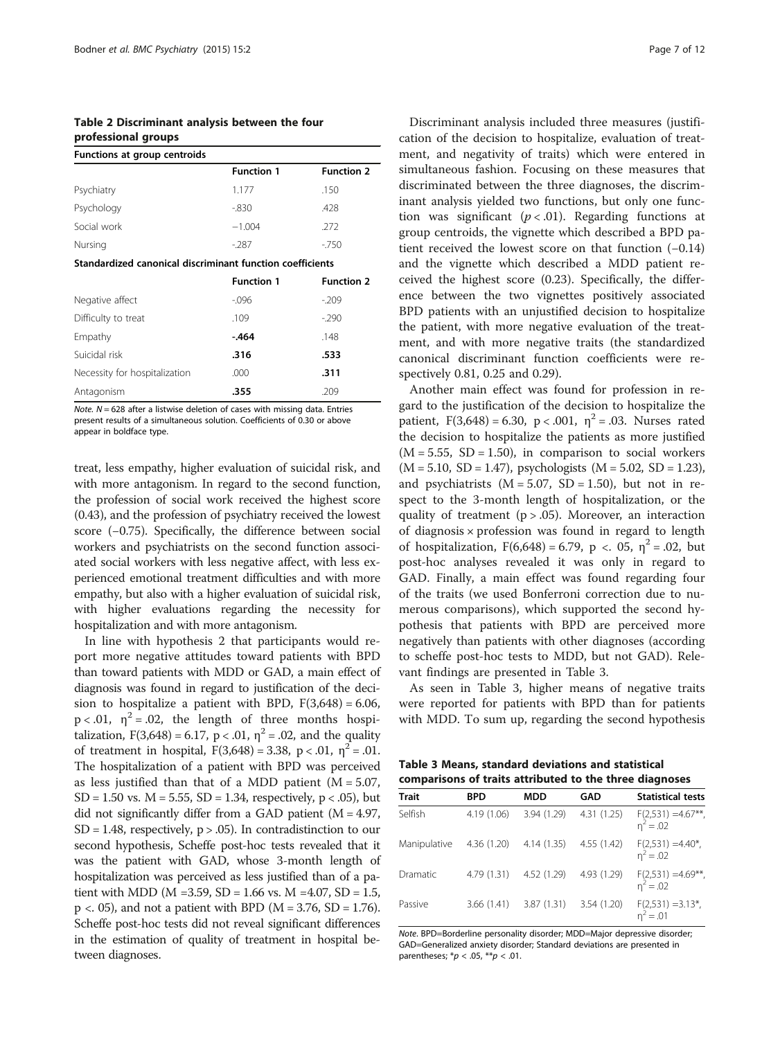<span id="page-6-0"></span>

| Table 2 Discriminant analysis between the four |  |  |  |
|------------------------------------------------|--|--|--|
| professional groups                            |  |  |  |

| Functions at group centroids                              |                   |                   |  |  |
|-----------------------------------------------------------|-------------------|-------------------|--|--|
|                                                           | <b>Function 1</b> | <b>Function 2</b> |  |  |
| Psychiatry                                                | 1.177             | .150              |  |  |
| Psychology                                                | $-0.830$          | .428              |  |  |
| Social work                                               | $-1.004$          | .272              |  |  |
| Nursing                                                   | $-287$            | $-750$            |  |  |
| Standardized canonical discriminant function coefficients |                   |                   |  |  |

|                               | <b>Function 1</b> | <b>Function 2</b> |
|-------------------------------|-------------------|-------------------|
| Negative affect               | $-0.096$          | $-209$            |
| Difficulty to treat           | .109              | $-290$            |
| Empathy                       | - 464             | .148              |
| Suicidal risk                 | .316              | .533              |
| Necessity for hospitalization | .000              | .311              |
| Antagonism                    | .355              | .209              |

Note.  $N = 628$  after a listwise deletion of cases with missing data. Entries present results of a simultaneous solution. Coefficients of 0.30 or above appear in boldface type.

treat, less empathy, higher evaluation of suicidal risk, and with more antagonism. In regard to the second function, the profession of social work received the highest score (0.43), and the profession of psychiatry received the lowest score (−0.75). Specifically, the difference between social workers and psychiatrists on the second function associated social workers with less negative affect, with less experienced emotional treatment difficulties and with more empathy, but also with a higher evaluation of suicidal risk, with higher evaluations regarding the necessity for hospitalization and with more antagonism.

In line with hypothesis 2 that participants would report more negative attitudes toward patients with BPD than toward patients with MDD or GAD, a main effect of diagnosis was found in regard to justification of the decision to hospitalize a patient with BPD,  $F(3,648) = 6.06$ ,  $p < .01$ ,  $\eta^2 = .02$ , the length of three months hospitalization,  $F(3,648) = 6.17$ ,  $p < .01$ ,  $\eta^2 = .02$ , and the quality of treatment in hospital,  $F(3,648) = 3.38$ ,  $p < .01$ ,  $\eta^2 = .01$ . The hospitalization of a patient with BPD was perceived as less justified than that of a MDD patient  $(M = 5.07,$ SD = 1.50 vs.  $M = 5.55$ , SD = 1.34, respectively, p < .05), but did not significantly differ from a GAD patient  $(M = 4.97,$  $SD = 1.48$ , respectively,  $p > .05$ ). In contradistinction to our second hypothesis, Scheffe post-hoc tests revealed that it was the patient with GAD, whose 3-month length of hospitalization was perceived as less justified than of a patient with MDD ( $M = 3.59$ ,  $SD = 1.66$  vs.  $M = 4.07$ ,  $SD = 1.5$ ,  $p < 0.05$ , and not a patient with BPD ( $M = 3.76$ , SD = 1.76). Scheffe post-hoc tests did not reveal significant differences in the estimation of quality of treatment in hospital between diagnoses.

Discriminant analysis included three measures (justification of the decision to hospitalize, evaluation of treatment, and negativity of traits) which were entered in simultaneous fashion. Focusing on these measures that discriminated between the three diagnoses, the discriminant analysis yielded two functions, but only one function was significant ( $p < .01$ ). Regarding functions at group centroids, the vignette which described a BPD patient received the lowest score on that function (−0.14) and the vignette which described a MDD patient received the highest score (0.23). Specifically, the difference between the two vignettes positively associated BPD patients with an unjustified decision to hospitalize the patient, with more negative evaluation of the treatment, and with more negative traits (the standardized canonical discriminant function coefficients were respectively 0.81, 0.25 and 0.29).

Another main effect was found for profession in regard to the justification of the decision to hospitalize the patient,  $F(3,648) = 6.30$ ,  $p < .001$ ,  $\eta^2 = .03$ . Nurses rated the decision to hospitalize the patients as more justified  $(M = 5.55, SD = 1.50)$ , in comparison to social workers  $(M = 5.10, SD = 1.47)$ , psychologists  $(M = 5.02, SD = 1.23)$ , and psychiatrists  $(M = 5.07, SD = 1.50)$ , but not in respect to the 3-month length of hospitalization, or the quality of treatment  $(p > .05)$ . Moreover, an interaction of diagnosis × profession was found in regard to length of hospitalization,  $F(6,648) = 6.79$ , p < 05,  $\eta^2 = 0.02$ , but post-hoc analyses revealed it was only in regard to GAD. Finally, a main effect was found regarding four of the traits (we used Bonferroni correction due to numerous comparisons), which supported the second hypothesis that patients with BPD are perceived more negatively than patients with other diagnoses (according to scheffe post-hoc tests to MDD, but not GAD). Relevant findings are presented in Table 3.

As seen in Table 3, higher means of negative traits were reported for patients with BPD than for patients with MDD. To sum up, regarding the second hypothesis

Table 3 Means, standard deviations and statistical comparisons of traits attributed to the three diagnoses

| <b>Trait</b> | <b>BPD</b>  | <b>MDD</b>  | <b>GAD</b>  | <b>Statistical tests</b>             |
|--------------|-------------|-------------|-------------|--------------------------------------|
| Selfish      | 4.19 (1.06) | 3.94 (1.29) | 4.31(1.25)  | $F(2,531) = 4.67**$ ,<br>$n^2 = .02$ |
| Manipulative | 4.36 (1.20) | 4.14(1.35)  | 4.55(1.42)  | $F(2,531) = 4.40^*$ ,<br>$n^2 = .02$ |
| Dramatic     | 4.79 (1.31) | 4.52 (1.29) | 4.93 (1.29) | $F(2,531) = 4.69**$ ,<br>$n^2 = .02$ |
| Passive      | 3.66(1.41)  | 3.87 (1.31) | 3.54 (1.20) | $F(2,531) = 3.13^*$ ,<br>$n^2 = .01$ |

Note. BPD=Borderline personality disorder; MDD=Major depressive disorder; GAD=Generalized anxiety disorder; Standard deviations are presented in parentheses;  $*p < .05$ ,  $**p < .01$ .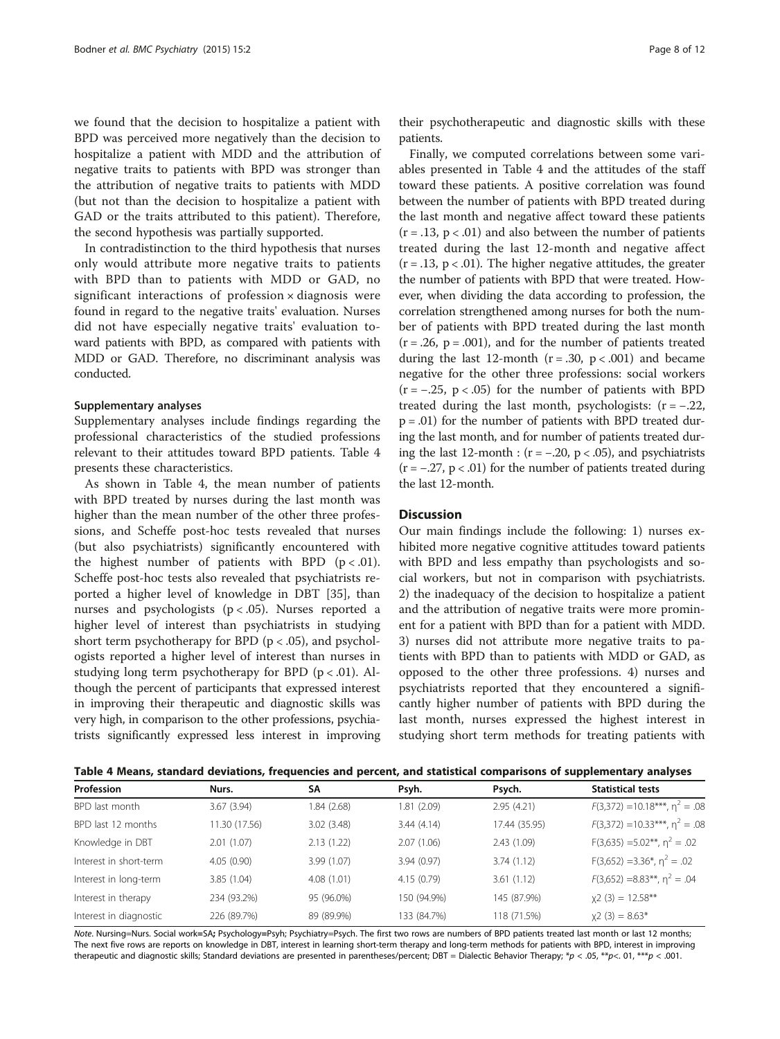we found that the decision to hospitalize a patient with BPD was perceived more negatively than the decision to hospitalize a patient with MDD and the attribution of negative traits to patients with BPD was stronger than the attribution of negative traits to patients with MDD (but not than the decision to hospitalize a patient with GAD or the traits attributed to this patient). Therefore, the second hypothesis was partially supported.

In contradistinction to the third hypothesis that nurses only would attribute more negative traits to patients with BPD than to patients with MDD or GAD, no significant interactions of profession  $\times$  diagnosis were found in regard to the negative traits' evaluation. Nurses did not have especially negative traits' evaluation toward patients with BPD, as compared with patients with MDD or GAD. Therefore, no discriminant analysis was conducted.

# Supplementary analyses

Supplementary analyses include findings regarding the professional characteristics of the studied professions relevant to their attitudes toward BPD patients. Table 4 presents these characteristics.

As shown in Table 4, the mean number of patients with BPD treated by nurses during the last month was higher than the mean number of the other three professions, and Scheffe post-hoc tests revealed that nurses (but also psychiatrists) significantly encountered with the highest number of patients with BPD  $(p < .01)$ . Scheffe post-hoc tests also revealed that psychiatrists reported a higher level of knowledge in DBT [\[35](#page-10-0)], than nurses and psychologists  $(p < .05)$ . Nurses reported a higher level of interest than psychiatrists in studying short term psychotherapy for BPD ( $p < .05$ ), and psychologists reported a higher level of interest than nurses in studying long term psychotherapy for BPD  $(p < .01)$ . Although the percent of participants that expressed interest in improving their therapeutic and diagnostic skills was very high, in comparison to the other professions, psychiatrists significantly expressed less interest in improving their psychotherapeutic and diagnostic skills with these patients.

Finally, we computed correlations between some variables presented in Table 4 and the attitudes of the staff toward these patients. A positive correlation was found between the number of patients with BPD treated during the last month and negative affect toward these patients  $(r = .13, p < .01)$  and also between the number of patients treated during the last 12-month and negative affect  $(r = .13, p < .01)$ . The higher negative attitudes, the greater the number of patients with BPD that were treated. However, when dividing the data according to profession, the correlation strengthened among nurses for both the number of patients with BPD treated during the last month  $(r = .26, p = .001)$ , and for the number of patients treated during the last 12-month ( $r = .30$ ,  $p < .001$ ) and became negative for the other three professions: social workers  $(r = -.25, p < .05)$  for the number of patients with BPD treated during the last month, psychologists:  $(r = -.22)$ , p = .01) for the number of patients with BPD treated during the last month, and for number of patients treated during the last 12-month :  $(r = -.20, p < .05)$ , and psychiatrists  $(r = -.27, p < .01)$  for the number of patients treated during the last 12-month.

# **Discussion**

Our main findings include the following: 1) nurses exhibited more negative cognitive attitudes toward patients with BPD and less empathy than psychologists and social workers, but not in comparison with psychiatrists. 2) the inadequacy of the decision to hospitalize a patient and the attribution of negative traits were more prominent for a patient with BPD than for a patient with MDD. 3) nurses did not attribute more negative traits to patients with BPD than to patients with MDD or GAD, as opposed to the other three professions. 4) nurses and psychiatrists reported that they encountered a significantly higher number of patients with BPD during the last month, nurses expressed the highest interest in studying short term methods for treating patients with

| Profession             | Nurs.         | SΑ         | Psyh.       | Psych.        | <b>Statistical tests</b>               |
|------------------------|---------------|------------|-------------|---------------|----------------------------------------|
| BPD last month         | 3.67(3.94)    | 1.84(2.68) | 1.81 (2.09) | 2.95(4.21)    | $F(3,372) = 10.18***$ , $\eta^2 = .08$ |
| BPD last 12 months     | 11.30 (17.56) | 3.02(3.48) | 3.44(4.14)  | 17.44 (35.95) | $F(3,372) = 10.33***$ , $\eta^2 = .08$ |
| Knowledge in DBT       | 2.01(1.07)    | 2.13(1.22) | 2.07(1.06)  | 2.43(1.09)    | $F(3,635) = 5.02$ **, $\eta^2 = .02$   |
| Interest in short-term | 4.05(0.90)    | 3.99(1.07) | 3.94(0.97)  | 3.74(1.12)    | $F(3,652) = 3.36^*$ , $\eta^2 = .02$   |
| Interest in long-term  | 3.85(1.04)    | 4.08(1.01) | 4.15(0.79)  | 3.61(1.12)    | $F(3,652) = 8.83**$ , $\eta^2 = .04$   |
| Interest in therapy    | 234 (93.2%)   | 95 (96.0%) | 150 (94.9%) | 145 (87.9%)   | $x2(3) = 12.58**$                      |
| Interest in diagnostic | 226 (89.7%)   | 89 (89.9%) | 133 (84.7%) | 118 (71.5%)   | $x2(3) = 8.63*$                        |

Note. Nursing=Nurs. Social work=SA; Psychology=Psyh; Psychiatry=Psych. The first two rows are numbers of BPD patients treated last month or last 12 months; The next five rows are reports on knowledge in DBT, interest in learning short-term therapy and long-term methods for patients with BPD, interest in improving therapeutic and diagnostic skills; Standard deviations are presented in parentheses/percent; DBT = Dialectic Behavior Therapy; \*p < .05, \*\*p<. 01, \*\*\*p < .001.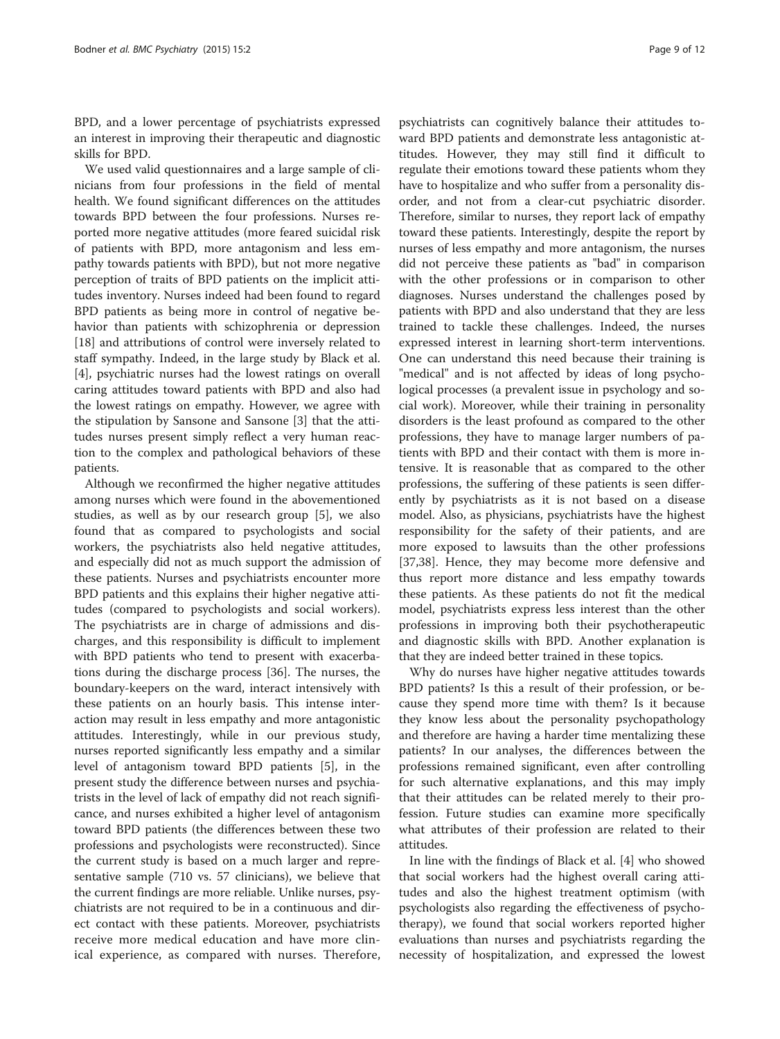BPD, and a lower percentage of psychiatrists expressed an interest in improving their therapeutic and diagnostic skills for BPD.

We used valid questionnaires and a large sample of clinicians from four professions in the field of mental health. We found significant differences on the attitudes towards BPD between the four professions. Nurses reported more negative attitudes (more feared suicidal risk of patients with BPD, more antagonism and less empathy towards patients with BPD), but not more negative perception of traits of BPD patients on the implicit attitudes inventory. Nurses indeed had been found to regard BPD patients as being more in control of negative behavior than patients with schizophrenia or depression [[18\]](#page-10-0) and attributions of control were inversely related to staff sympathy. Indeed, in the large study by Black et al. [[4\]](#page-10-0), psychiatric nurses had the lowest ratings on overall caring attitudes toward patients with BPD and also had the lowest ratings on empathy. However, we agree with the stipulation by Sansone and Sansone [[3\]](#page-10-0) that the attitudes nurses present simply reflect a very human reaction to the complex and pathological behaviors of these patients.

Although we reconfirmed the higher negative attitudes among nurses which were found in the abovementioned studies, as well as by our research group [[5](#page-10-0)], we also found that as compared to psychologists and social workers, the psychiatrists also held negative attitudes, and especially did not as much support the admission of these patients. Nurses and psychiatrists encounter more BPD patients and this explains their higher negative attitudes (compared to psychologists and social workers). The psychiatrists are in charge of admissions and discharges, and this responsibility is difficult to implement with BPD patients who tend to present with exacerbations during the discharge process [[36\]](#page-10-0). The nurses, the boundary-keepers on the ward, interact intensively with these patients on an hourly basis. This intense interaction may result in less empathy and more antagonistic attitudes. Interestingly, while in our previous study, nurses reported significantly less empathy and a similar level of antagonism toward BPD patients [[5\]](#page-10-0), in the present study the difference between nurses and psychiatrists in the level of lack of empathy did not reach significance, and nurses exhibited a higher level of antagonism toward BPD patients (the differences between these two professions and psychologists were reconstructed). Since the current study is based on a much larger and representative sample (710 vs. 57 clinicians), we believe that the current findings are more reliable. Unlike nurses, psychiatrists are not required to be in a continuous and direct contact with these patients. Moreover, psychiatrists receive more medical education and have more clinical experience, as compared with nurses. Therefore,

psychiatrists can cognitively balance their attitudes toward BPD patients and demonstrate less antagonistic attitudes. However, they may still find it difficult to regulate their emotions toward these patients whom they have to hospitalize and who suffer from a personality disorder, and not from a clear-cut psychiatric disorder. Therefore, similar to nurses, they report lack of empathy toward these patients. Interestingly, despite the report by nurses of less empathy and more antagonism, the nurses did not perceive these patients as "bad" in comparison with the other professions or in comparison to other diagnoses. Nurses understand the challenges posed by patients with BPD and also understand that they are less trained to tackle these challenges. Indeed, the nurses expressed interest in learning short-term interventions. One can understand this need because their training is "medical" and is not affected by ideas of long psychological processes (a prevalent issue in psychology and social work). Moreover, while their training in personality disorders is the least profound as compared to the other professions, they have to manage larger numbers of patients with BPD and their contact with them is more intensive. It is reasonable that as compared to the other professions, the suffering of these patients is seen differently by psychiatrists as it is not based on a disease model. Also, as physicians, psychiatrists have the highest responsibility for the safety of their patients, and are more exposed to lawsuits than the other professions [[37,38\]](#page-10-0). Hence, they may become more defensive and thus report more distance and less empathy towards these patients. As these patients do not fit the medical model, psychiatrists express less interest than the other professions in improving both their psychotherapeutic and diagnostic skills with BPD. Another explanation is that they are indeed better trained in these topics.

Why do nurses have higher negative attitudes towards BPD patients? Is this a result of their profession, or because they spend more time with them? Is it because they know less about the personality psychopathology and therefore are having a harder time mentalizing these patients? In our analyses, the differences between the professions remained significant, even after controlling for such alternative explanations, and this may imply that their attitudes can be related merely to their profession. Future studies can examine more specifically what attributes of their profession are related to their attitudes.

In line with the findings of Black et al. [[4](#page-10-0)] who showed that social workers had the highest overall caring attitudes and also the highest treatment optimism (with psychologists also regarding the effectiveness of psychotherapy), we found that social workers reported higher evaluations than nurses and psychiatrists regarding the necessity of hospitalization, and expressed the lowest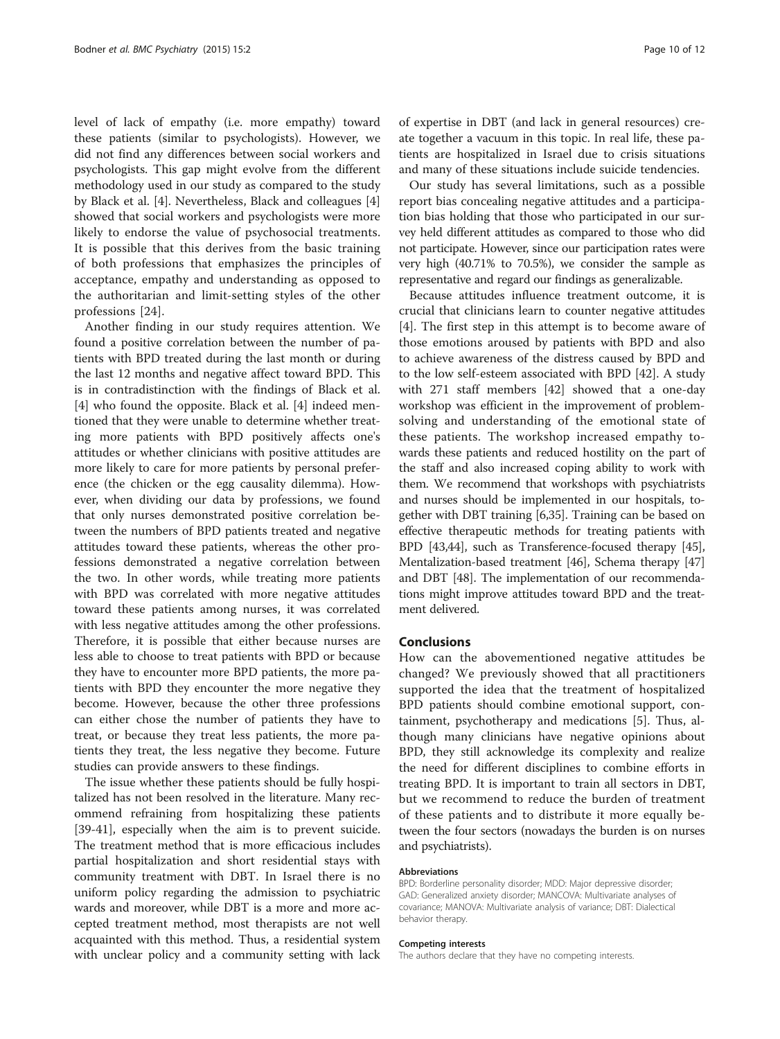level of lack of empathy (i.e. more empathy) toward these patients (similar to psychologists). However, we did not find any differences between social workers and psychologists. This gap might evolve from the different methodology used in our study as compared to the study by Black et al. [[4](#page-10-0)]. Nevertheless, Black and colleagues [\[4](#page-10-0)] showed that social workers and psychologists were more likely to endorse the value of psychosocial treatments. It is possible that this derives from the basic training of both professions that emphasizes the principles of acceptance, empathy and understanding as opposed to the authoritarian and limit-setting styles of the other professions [\[24](#page-10-0)].

Another finding in our study requires attention. We found a positive correlation between the number of patients with BPD treated during the last month or during the last 12 months and negative affect toward BPD. This is in contradistinction with the findings of Black et al. [[4\]](#page-10-0) who found the opposite. Black et al. [\[4\]](#page-10-0) indeed mentioned that they were unable to determine whether treating more patients with BPD positively affects one's attitudes or whether clinicians with positive attitudes are more likely to care for more patients by personal preference (the chicken or the egg causality dilemma). However, when dividing our data by professions, we found that only nurses demonstrated positive correlation between the numbers of BPD patients treated and negative attitudes toward these patients, whereas the other professions demonstrated a negative correlation between the two. In other words, while treating more patients with BPD was correlated with more negative attitudes toward these patients among nurses, it was correlated with less negative attitudes among the other professions. Therefore, it is possible that either because nurses are less able to choose to treat patients with BPD or because they have to encounter more BPD patients, the more patients with BPD they encounter the more negative they become. However, because the other three professions can either chose the number of patients they have to treat, or because they treat less patients, the more patients they treat, the less negative they become. Future studies can provide answers to these findings.

The issue whether these patients should be fully hospitalized has not been resolved in the literature. Many recommend refraining from hospitalizing these patients [[39-41](#page-10-0)], especially when the aim is to prevent suicide. The treatment method that is more efficacious includes partial hospitalization and short residential stays with community treatment with DBT. In Israel there is no uniform policy regarding the admission to psychiatric wards and moreover, while DBT is a more and more accepted treatment method, most therapists are not well acquainted with this method. Thus, a residential system with unclear policy and a community setting with lack

of expertise in DBT (and lack in general resources) create together a vacuum in this topic. In real life, these patients are hospitalized in Israel due to crisis situations and many of these situations include suicide tendencies.

Our study has several limitations, such as a possible report bias concealing negative attitudes and a participation bias holding that those who participated in our survey held different attitudes as compared to those who did not participate. However, since our participation rates were very high (40.71% to 70.5%), we consider the sample as representative and regard our findings as generalizable.

Because attitudes influence treatment outcome, it is crucial that clinicians learn to counter negative attitudes [[4\]](#page-10-0). The first step in this attempt is to become aware of those emotions aroused by patients with BPD and also to achieve awareness of the distress caused by BPD and to the low self-esteem associated with BPD [\[42](#page-10-0)]. A study with 271 staff members [[42](#page-10-0)] showed that a one-day workshop was efficient in the improvement of problemsolving and understanding of the emotional state of these patients. The workshop increased empathy towards these patients and reduced hostility on the part of the staff and also increased coping ability to work with them. We recommend that workshops with psychiatrists and nurses should be implemented in our hospitals, together with DBT training [\[6,35\]](#page-10-0). Training can be based on effective therapeutic methods for treating patients with BPD [\[43,44\]](#page-10-0), such as Transference-focused therapy [[45](#page-10-0)], Mentalization-based treatment [[46](#page-11-0)], Schema therapy [[47](#page-11-0)] and DBT [\[48\]](#page-11-0). The implementation of our recommendations might improve attitudes toward BPD and the treatment delivered.

## Conclusions

How can the abovementioned negative attitudes be changed? We previously showed that all practitioners supported the idea that the treatment of hospitalized BPD patients should combine emotional support, containment, psychotherapy and medications [\[5](#page-10-0)]. Thus, although many clinicians have negative opinions about BPD, they still acknowledge its complexity and realize the need for different disciplines to combine efforts in treating BPD. It is important to train all sectors in DBT, but we recommend to reduce the burden of treatment of these patients and to distribute it more equally between the four sectors (nowadays the burden is on nurses and psychiatrists).

#### Abbreviations

BPD: Borderline personality disorder; MDD: Major depressive disorder; GAD: Generalized anxiety disorder; MANCOVA: Multivariate analyses of covariance; MANOVA: Multivariate analysis of variance; DBT: Dialectical behavior therapy.

#### Competing interests

The authors declare that they have no competing interests.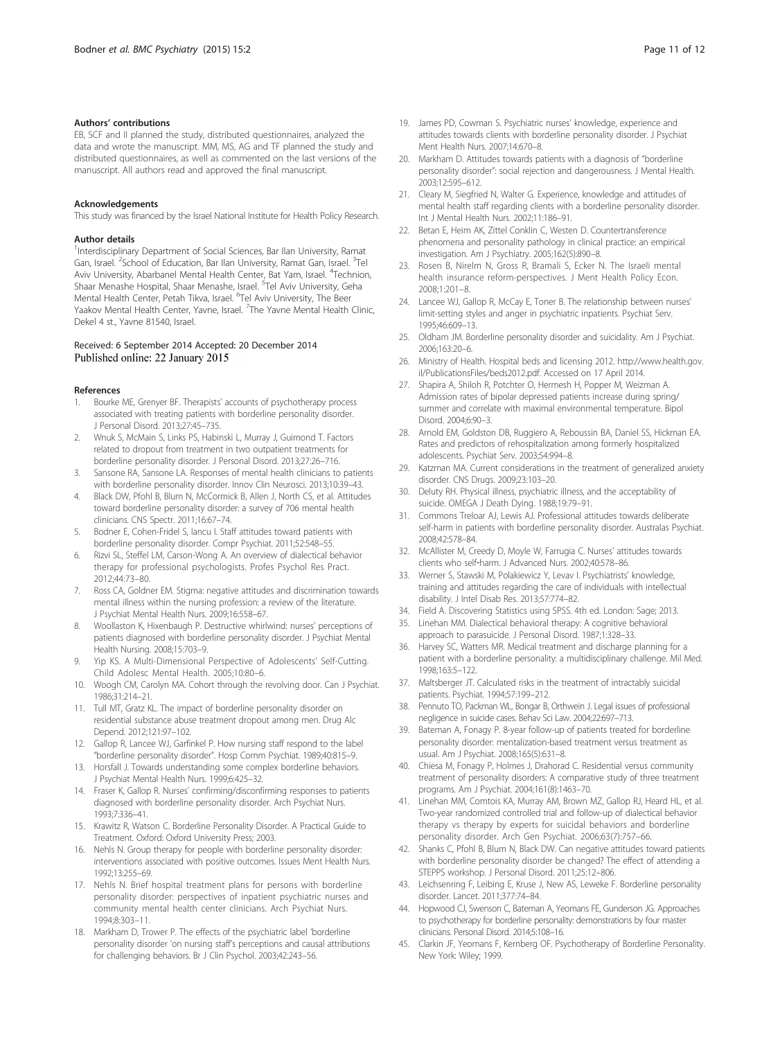#### <span id="page-10-0"></span>Authors' contributions

EB, SCF and II planned the study, distributed questionnaires, analyzed the data and wrote the manuscript. MM, MS, AG and TF planned the study and distributed questionnaires, as well as commented on the last versions of the manuscript. All authors read and approved the final manuscript.

# Acknowledgements

This study was financed by the Israel National Institute for Health Policy Research.

#### Author details

<sup>1</sup>Interdisciplinary Department of Social Sciences, Bar Ilan University, Ramat Gan, Israel. <sup>2</sup>School of Education, Bar Ilan University, Ramat Gan, Israel. <sup>3</sup>Tel Aviv University, Abarbanel Mental Health Center, Bat Yam, Israel. <sup>4</sup>Technion, Shaar Menashe Hospital, Shaar Menashe, Israel. <sup>5</sup>Tel Aviv University, Geha Mental Health Center, Petah Tikva, Israel. <sup>6</sup>Tel Aviv University, The Beer Yaakov Mental Health Center, Yavne, Israel. <sup>7</sup>The Yavne Mental Health Clinic, Dekel 4 st., Yavne 81540, Israel.

# Received: 6 September 2014 Accepted: 20 December 2014 Published online: 22 January 2015

#### References

- 1. Bourke ME, Grenyer BF. Therapists' accounts of psychotherapy process associated with treating patients with borderline personality disorder. J Personal Disord. 2013;27:45–735.
- 2. Wnuk S, McMain S, Links PS, Habinski L, Murray J, Guimond T. Factors related to dropout from treatment in two outpatient treatments for borderline personality disorder. J Personal Disord. 2013;27:26–716.
- 3. Sansone RA, Sansone LA. Responses of mental health clinicians to patients with borderline personality disorder. Innov Clin Neurosci. 2013;10:39–43.
- 4. Black DW, Pfohl B, Blum N, McCormick B, Allen J, North CS, et al. Attitudes toward borderline personality disorder: a survey of 706 mental health clinicians. CNS Spectr. 2011;16:67–74.
- 5. Bodner E, Cohen-Fridel S, Iancu I. Staff attitudes toward patients with borderline personality disorder. Compr Psychiat. 2011;52:548–55.
- 6. Rizvi SL, Steffel LM, Carson-Wong A. An overview of dialectical behavior therapy for professional psychologists. Profes Psychol Res Pract. 2012;44:73–80.
- 7. Ross CA, Goldner EM. Stigma: negative attitudes and discrimination towards mental illness within the nursing profession: a review of the literature. J Psychiat Mental Health Nurs. 2009;16:558–67.
- 8. Woollaston K, Hixenbaugh P. Destructive whirlwind: nurses' perceptions of patients diagnosed with borderline personality disorder. J Psychiat Mental Health Nursing. 2008;15:703–9.
- 9. Yip KS. A Multi-Dimensional Perspective of Adolescents' Self-Cutting. Child Adolesc Mental Health. 2005;10:80–6.
- 10. Woogh CM, Carolyn MA. Cohort through the revolving door. Can J Psychiat. 1986;31:214–21.
- 11. Tull MT, Gratz KL. The impact of borderline personality disorder on residential substance abuse treatment dropout among men. Drug Alc Depend. 2012;121:97–102.
- 12. Gallop R, Lancee WJ, Garfinkel P. How nursing staff respond to the label "borderline personality disorder". Hosp Comm Psychiat. 1989;40:815–9.
- 13. Horsfall J. Towards understanding some complex borderline behaviors. J Psychiat Mental Health Nurs. 1999;6:425–32.
- 14. Fraser K, Gallop R. Nurses' confirming/disconfirming responses to patients diagnosed with borderline personality disorder. Arch Psychiat Nurs. 1993;7:336–41.
- 15. Krawitz R, Watson C. Borderline Personality Disorder. A Practical Guide to Treatment. Oxford: Oxford University Press; 2003.
- 16. Nehls N. Group therapy for people with borderline personality disorder: interventions associated with positive outcomes. Issues Ment Health Nurs. 1992;13:255–69.
- 17. Nehls N. Brief hospital treatment plans for persons with borderline personality disorder: perspectives of inpatient psychiatric nurses and community mental health center clinicians. Arch Psychiat Nurs. 1994;8:303–11.
- 18. Markham D, Trower P. The effects of the psychiatric label 'borderline personality disorder 'on nursing staff's perceptions and causal attributions for challenging behaviors. Br J Clin Psychol. 2003;42:243–56.
- 19. James PD, Cowman S. Psychiatric nurses' knowledge, experience and attitudes towards clients with borderline personality disorder. J Psychiat Ment Health Nurs. 2007;14:670–8.
- 20. Markham D. Attitudes towards patients with a diagnosis of "borderline personality disorder": social rejection and dangerousness. J Mental Health. 2003;12:595–612.
- 21. Cleary M, Siegfried N, Walter G. Experience, knowledge and attitudes of mental health staff regarding clients with a borderline personality disorder. Int J Mental Health Nurs. 2002;11:186–91.
- 22. Betan E, Heim AK, Zittel Conklin C, Westen D. Countertransference phenomena and personality pathology in clinical practice: an empirical investigation. Am J Psychiatry. 2005;162(5):890–8.
- 23. Rosen B, Nirelm N, Gross R, Bramali S, Ecker N. The Israeli mental health insurance reform-perspectives. J Ment Health Policy Econ. 2008;1:201–8.
- 24. Lancee WJ, Gallop R, McCay E, Toner B. The relationship between nurses' limit-setting styles and anger in psychiatric inpatients. Psychiat Serv. 1995;46:609–13.
- 25. Oldham JM. Borderline personality disorder and suicidality. Am J Psychiat. 2006;163:20–6.
- 26. Ministry of Health. Hospital beds and licensing 2012. [http://www.health.gov.](http://www.health.gov.il/PublicationsFiles/beds2012.pdf) [il/PublicationsFiles/beds2012.pdf](http://www.health.gov.il/PublicationsFiles/beds2012.pdf). Accessed on 17 April 2014.
- 27. Shapira A, Shiloh R, Potchter O, Hermesh H, Popper M, Weizman A. Admission rates of bipolar depressed patients increase during spring/ summer and correlate with maximal environmental temperature. Bipol Disord. 2004;6:90–3.
- 28. Arnold EM, Goldston DB, Ruggiero A, Reboussin BA, Daniel SS, Hickman EA. Rates and predictors of rehospitalization among formerly hospitalized adolescents. Psychiat Serv. 2003;54:994–8.
- 29. Katzman MA. Current considerations in the treatment of generalized anxiety disorder. CNS Drugs. 2009;23:103–20.
- 30. Deluty RH. Physical illness, psychiatric illness, and the acceptability of suicide. OMEGA J Death Dying. 1988;19:79–91.
- 31. Commons Treloar AJ, Lewis AJ. Professional attitudes towards deliberate self-harm in patients with borderline personality disorder. Australas Psychiat. 2008;42:578–84.
- 32. McAllister M, Creedy D, Moyle W, Farrugia C. Nurses' attitudes towards clients who self‐harm. J Advanced Nurs. 2002;40:578–86.
- 33. Werner S, Stawski M, Polakiewicz Y, Levav I. Psychiatrists' knowledge, training and attitudes regarding the care of individuals with intellectual disability. J Intel Disab Res. 2013;57:774–82.
- 34. Field A. Discovering Statistics using SPSS. 4th ed. London: Sage; 2013.
- 35. Linehan MM. Dialectical behavioral therapy: A cognitive behavioral approach to parasuicide. J Personal Disord. 1987;1:328–33.
- 36. Harvey SC, Watters MR. Medical treatment and discharge planning for a patient with a borderline personality: a multidisciplinary challenge. Mil Med. 1998;163:5–122.
- 37. Maltsberger JT. Calculated risks in the treatment of intractably suicidal patients. Psychiat. 1994;57:199–212.
- 38. Pennuto TO, Packman WL, Bongar B, Orthwein J. Legal issues of professional negligence in suicide cases. Behav Sci Law. 2004;22:697–713.
- 39. Bateman A, Fonagy P. 8-year follow-up of patients treated for borderline personality disorder: mentalization-based treatment versus treatment as usual. Am J Psychiat. 2008;165(5):631–8.
- 40. Chiesa M, Fonagy P, Holmes J, Drahorad C. Residential versus community treatment of personality disorders: A comparative study of three treatment programs. Am J Psychiat. 2004;161(8):1463–70.
- 41. Linehan MM, Comtois KA, Murray AM, Brown MZ, Gallop RJ, Heard HL, et al. Two-year randomized controlled trial and follow-up of dialectical behavior therapy vs therapy by experts for suicidal behaviors and borderline personality disorder. Arch Gen Psychiat. 2006;63(7):757–66.
- 42. Shanks C, Pfohl B, Blum N, Black DW. Can negative attitudes toward patients with borderline personality disorder be changed? The effect of attending a STEPPS workshop. J Personal Disord. 2011;25:12–806.
- 43. Leichsenring F, Leibing E, Kruse J, New AS, Leweke F. Borderline personality disorder. Lancet. 2011;377:74–84.
- 44. Hopwood CJ, Swenson C, Bateman A, Yeomans FE, Gunderson JG. Approaches to psychotherapy for borderline personality: demonstrations by four master clinicians. Personal Disord. 2014;5:108–16.
- 45. Clarkin JF, Yeomans F, Kernberg OF. Psychotherapy of Borderline Personality. New York: Wiley; 1999.